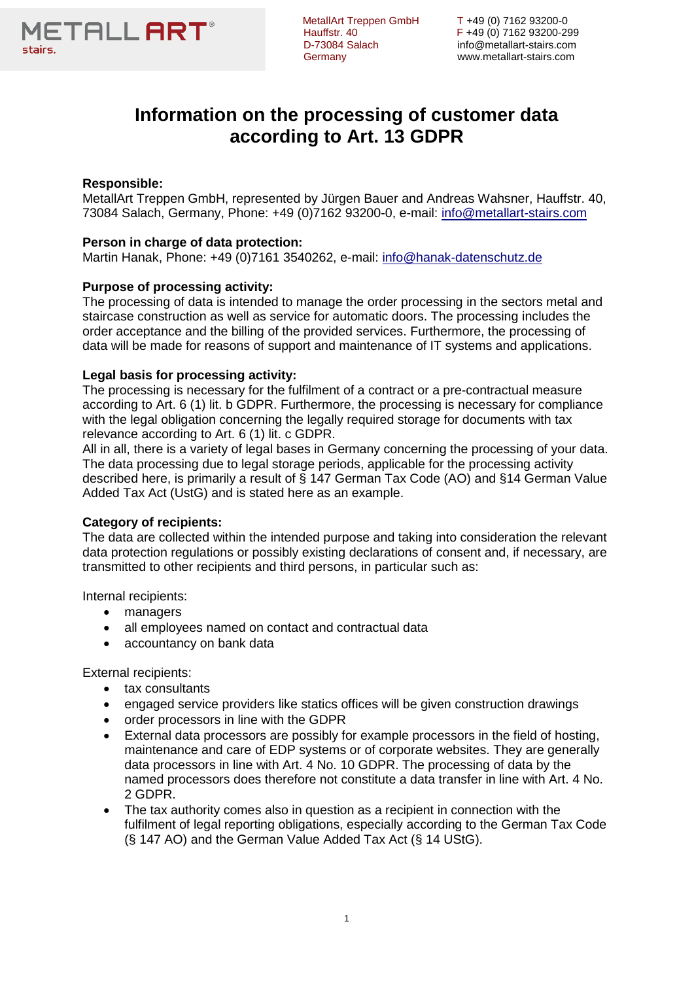

D-73084 Salach info@metallart-stairs.com

MetallArt Treppen GmbH T +49 (0) 7162 93200-0<br>Hauffstr. 40 F +49 (0) 7162 93200-299 Hauffstr. 40 F +49 (0) 7162 93200-299 Germany www.metallart-stairs.com

# **Information on the processing of customer data according to Art. 13 GDPR**

# **Responsible:**

MetallArt Treppen GmbH, represented by Jürgen Bauer and Andreas Wahsner, Hauffstr. 40, 73084 Salach, Germany, Phone: +49 (0)7162 93200-0, e-mail: [info@metallart-stairs.com](mailto:info@metallart-stairs.com)

# **Person in charge of data protection:**

Martin Hanak, Phone: +49 (0)7161 3540262, e-mail: [info@hanak-datenschutz.de](mailto:info@hanak-datenschutz.de)

# **Purpose of processing activity:**

The processing of data is intended to manage the order processing in the sectors metal and staircase construction as well as service for automatic doors. The processing includes the order acceptance and the billing of the provided services. Furthermore, the processing of data will be made for reasons of support and maintenance of IT systems and applications.

## **Legal basis for processing activity:**

The processing is necessary for the fulfilment of a contract or a pre-contractual measure according to Art. 6 (1) lit. b GDPR. Furthermore, the processing is necessary for compliance with the legal obligation concerning the legally required storage for documents with tax relevance according to Art. 6 (1) lit. c GDPR.

All in all, there is a variety of legal bases in Germany concerning the processing of your data. The data processing due to legal storage periods, applicable for the processing activity described here, is primarily a result of § 147 German Tax Code (AO) and §14 German Value Added Tax Act (UstG) and is stated here as an example.

# **Category of recipients:**

The data are collected within the intended purpose and taking into consideration the relevant data protection regulations or possibly existing declarations of consent and, if necessary, are transmitted to other recipients and third persons, in particular such as:

Internal recipients:

- managers
- all employees named on contact and contractual data
- accountancy on bank data

External recipients:

- tax consultants
- engaged service providers like statics offices will be given construction drawings
- order processors in line with the GDPR
- External data processors are possibly for example processors in the field of hosting, maintenance and care of EDP systems or of corporate websites. They are generally data processors in line with Art. 4 No. 10 GDPR. The processing of data by the named processors does therefore not constitute a data transfer in line with Art. 4 No. 2 GDPR.
- The tax authority comes also in question as a recipient in connection with the fulfilment of legal reporting obligations, especially according to the German Tax Code (§ 147 AO) and the German Value Added Tax Act (§ 14 UStG).